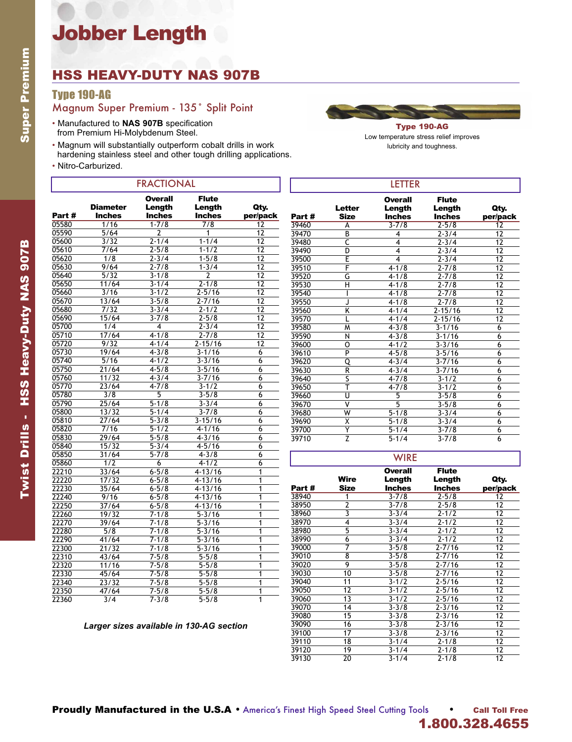# Jobber Length

### HSS HEAVY-DUTY NAS 907B

### Type 190-AG

### Magnum Super Premium - 135˚ Split Point

- Manufactured to **NAS 907B** specification from Premium Hi-Molybdenum Steel.
- Magnum will substantially outperform cobalt drills in work
- hardening stainless steel and other tough drilling applications.
- Nitro-Carburized.

| <b>FRACTIONAL</b> |                                  |                                           |                                                |                  |
|-------------------|----------------------------------|-------------------------------------------|------------------------------------------------|------------------|
| Part #            | <b>Diameter</b><br><b>Inches</b> | <b>Overall</b><br>Length<br><b>Inches</b> | <b>Flute</b><br><b>Length</b><br><b>Inches</b> | Qty.<br>per/pack |
| 05580             | 1/16                             | $1 - 7/8$                                 | $\frac{7}{8}$                                  | 12               |
| 05590             | 5/64                             | 2                                         | 1                                              | 12               |
| 05600             | 3/32                             | $2 - 1/4$                                 | $1 - 1/4$                                      | 12               |
| 05610             | 7/64                             | $2 - 5/8$                                 | $1 - 1/2$                                      | 12               |
| 05620             | 1/8                              | $2 - 3/4$                                 | $1 - 5/8$                                      | 12               |
| 05630             | 9/64                             | $2 - 7/8$                                 | $1 - 3/4$                                      | 12               |
| 05640             | $\frac{1}{5/32}$                 | $3 - 1/8$                                 | $\overline{2}$                                 | 12               |
| 05650             | 11/64                            | $3 - 1/4$                                 | $2 - 1/8$                                      | 12               |
| 05660             | 3/16                             | $3 - 1/2$                                 | $2 - 5/16$                                     | 12               |
| 05670             | 13/64                            | $3 - 5/8$                                 | $2 - 7/16$                                     | 12               |
| 05680             | 7/32                             | $3 - 3/4$                                 | $2 - 1/2$                                      | 12               |
| 05690             | 15/64                            | $3 - 7/8$                                 | $2 - 5/8$                                      | 12               |
| 05700             | 1/4                              | 4                                         | $2 - 3/4$                                      | 12               |
| 05710             | 17/64                            | $4 - 1/8$                                 | $2 - 7/8$                                      | 12               |
| 05720             | 9/32                             | $4 - 1/4$                                 | $2 - 15/16$                                    | 12               |
| 05730             | 19/64                            | $4 - 3/8$                                 | $3 - 1/16$                                     | 6                |
| 05740             | 5/16                             | $4 - 1/2$                                 | $3 - 3/16$                                     | 6                |
| 05750             | 21/64                            | $4 - 5/8$                                 | $3 - 5/16$                                     | 6                |
| 05760             | 11/32                            | $4 - 3/4$                                 | $3 - 7/16$                                     | 6                |
| 05770             | 23/64                            | $4 - 7/8$                                 | $3 - 1/2$                                      | 6                |
| 05780             | 3/8                              | 5                                         | $3 - 5/8$                                      | 6                |
| 05790             | 25/64                            | $5 - 1/8$                                 | $3 - 3/4$                                      | 6                |
| 05800             | 13/32                            | $5 - 1/4$                                 | $3 - 7/8$                                      | 6                |
| 05810             | 27/64                            | $5 - 3/8$                                 | $3 - 15/16$                                    | 6                |
| 05820             | $7/16$                           | $5 - 1/2$                                 | $4 - 1/16$                                     | 6                |
| 05830             | 29/64                            | $5 - 5/8$                                 | $4 - 3/16$                                     | 6                |
| 05840             | 15/32                            | $\frac{1}{5-3/4}$                         | $4 - 5/16$                                     | 6                |
| 05850             | 31/64                            | $5 - 7/8$                                 | $4 - 3/8$                                      | 6                |
| 05860             | 1/2                              | 6                                         | $4 - 1/2$                                      | 6                |
| 22210             | 33/64                            | $6 - 5/8$                                 | $4 - 13/16$                                    | 1                |
| 22220             | 17/32                            | $6 - 5/8$                                 | $4 - 13/16$                                    | 1                |
| 22230             | 35/64                            | $6 - 5/8$                                 | $4 - 13/16$                                    | 1                |
| 22240             | 9/16                             | $6 - 5/8$                                 | $4 - 13/16$                                    | 1                |
| 22250             | 37/64                            | $6 - 5/8$                                 | $4 - 13/16$                                    | 1                |
| 22260             | 19/32                            | $7 - 1/8$                                 | $5 - 3/16$                                     | 1                |
| 22270             | 39/64                            | $7 - 1/8$                                 | $5 - 3/16$                                     | 1                |
| 22280             | 5/8                              | $7 - 1/8$                                 | $5 - 3/16$                                     | 1                |
| 22290             | 41/64                            | $\frac{1}{7-1/8}$                         | $5 - 3/16$                                     | 1                |
| 22300             | 21/32                            | $7 - 1/8$                                 | $5 - 3/16$                                     | 1                |
| 22310             | 43/64                            | $7 - 5/8$                                 | $5 - 5/8$                                      | 1                |
| 22320             | 11/16                            | $7 - 5/8$                                 | $5 - 5/8$                                      | 1                |
| 22330             | 45/64                            | $7 - 5/8$                                 | $5 - 5/8$                                      | $\overline{1}$   |
| 22340             | 23/32                            | $7 - 5/8$                                 | $5 - 5/8$                                      | 1                |
| 22350             | 47/64                            | $7 - 5/8$                                 | $5 - 5/8$                                      | 1                |
| 22360             | 3/4                              | $7 - 3/8$                                 | $5 - 5/8$                                      | 1                |



Low temperature stress relief improves lubricity and toughness.

| <b>LETTER</b> |                           |                          |                        |                 |  |  |
|---------------|---------------------------|--------------------------|------------------------|-----------------|--|--|
|               | <b>Letter</b>             | <b>Overall</b><br>Length | <b>Flute</b><br>Length | Qty.            |  |  |
| Part#         | <b>Size</b>               | <b>Inches</b>            | <b>Inches</b>          | per/pack        |  |  |
| 39460         | A                         | $3 - 7/8$                | $2 - 5/8$              | $\overline{12}$ |  |  |
| 39470         | B                         | 4                        | $2 - 3/4$              | 12              |  |  |
| 39480         | C                         | 4                        | $2 - 3/4$              | 12              |  |  |
| 39490         | D                         | 4                        | $2 - 3/4$              | 12              |  |  |
| 39500         | E                         | 4                        | $2 - 3/4$              | 12              |  |  |
| 39510         | F                         | $4 - 1/8$                | $2 - 7/8$              | 12              |  |  |
| 39520         | G                         | $4 - 1/8$                | $2 - 7/8$              | 12              |  |  |
| 39530         | Η                         | $4 - 1/8$                | $2 - 7/8$              | 12              |  |  |
| 39540         | ı                         | $4 - 1/8$                | $2 - 7/8$              | 12              |  |  |
| 39550         | J                         | $4 - 1/8$                | $2 - 7/8$              | 12              |  |  |
| 39560         | Κ                         | $4 - 1/4$                | $2 - 15/16$            | 12              |  |  |
| 39570         | L                         | $4 - 1/4$                | $2 - 15/16$            | 12              |  |  |
| 39580         | M                         | $4 - 3/8$                | $3 - 1/16$             | 6               |  |  |
| 39590         | N                         | $4 - 3/8$                | $3 - 1/16$             | 6               |  |  |
| 39600         | 0                         | $4 - 1/2$                | $3 - 3/16$             | 6               |  |  |
| 39610         | $\overline{P}$            | $4 - 5/8$                | $3 - 5/16$             | 6               |  |  |
| 39620         | Q                         | $4 - 3/4$                | $3 - 7/16$             | 6               |  |  |
| 39630         | $\overline{\mathsf{R}}$   | $4 - 3/4$                | $3 - 7/16$             | 6               |  |  |
| 39640         | $\overline{\mathsf{s}}$   | $4 - 7/8$                | $3 - 1/2$              | 6               |  |  |
| 39650         | ₸                         | $4 - 7/8$                | $3 - 1/2$              | 6               |  |  |
| 39660         | U                         | 5                        | $3 - 5/8$              | 6               |  |  |
| 39670         | $\overline{\mathsf{v}}$   | $\overline{5}$           | $3 - 5/8$              | 6               |  |  |
| 39680         | W                         | $5 - 1/8$                | $3 - 3/4$              | 6               |  |  |
| 39690         | Χ                         | $5 - 1/8$                | $3 - 3/4$              | 6               |  |  |
| 39700         | Y                         | $5 - 1/4$                | $3 - 7/8$              | 6               |  |  |
| 39710         | $\overline{\overline{z}}$ | $5 - 1/4$                | $3 - 7/8$              | 6               |  |  |

|        |                         | <b>WIRE</b>                               |                                         |                  |
|--------|-------------------------|-------------------------------------------|-----------------------------------------|------------------|
| Part # | Wire<br><b>Size</b>     | <b>Overall</b><br>Length<br><b>Inches</b> | <b>Flute</b><br>Length<br><b>Inches</b> | Qty.<br>per/pack |
| 38940  | 1                       | $3 - 7/8$                                 | $2 - 5/8$                               | 12               |
| 38950  | $\overline{2}$          | $3 - 7/8$                                 | $2 - 5/8$                               | 12               |
| 38960  | $\overline{\mathbf{3}}$ | $3 - 3/4$                                 | $2 - 1/2$                               | 12               |
| 38970  | 4                       | $3 - 3/4$                                 | $2 - 1/2$                               | 12               |
| 38980  | 5                       | $3 - 3/4$                                 | $2 - 1/2$                               | 12               |
| 38990  | 6                       | $3 - 3/4$                                 | $2 - 1/2$                               | 12               |
| 39000  | 7                       | $3 - 5/8$                                 | $2 - 7/16$                              | 12               |
| 39010  | 8                       | $3 - 5/8$                                 | $2 - 7/16$                              | 12               |
| 39020  | 9                       | $3 - 5/8$                                 | $2 - 7/16$                              | 12               |
| 39030  | 10                      | $3 - 5/8$                                 | $2 - 7/16$                              | 12               |
| 39040  | 11                      | $3 - 1/2$                                 | $2 - 5/16$                              | 12               |
| 39050  | 12                      | $3 - 1/2$                                 | $2 - 5/16$                              | 12               |
| 39060  | 13                      | $3 - 1/2$                                 | $2 - 5/16$                              | 12               |
| 39070  | 14                      | $3 - 3/8$                                 | $2 - 3/16$                              | 12               |
| 39080  | 15                      | $3 - 3/8$                                 | $2 - 3/16$                              | 12               |
| 39090  | 16                      | $3 - 3/8$                                 | $2 - 3/16$                              | 12               |
| 39100  | 17                      | $3 - 3/8$                                 | $2 - 3/16$                              | 12               |
| 39110  | 18                      | $3 - 1/4$                                 | $2 - 1/8$                               | 12               |
| 39120  | 19                      | $3 - 1/4$                                 | $2 - 1/8$                               | 12               |
| 39130  | 20                      | $3 - 1/4$                                 | $2 - 1/8$                               | 12               |

#### *Larger sizes available in 130-AG section*